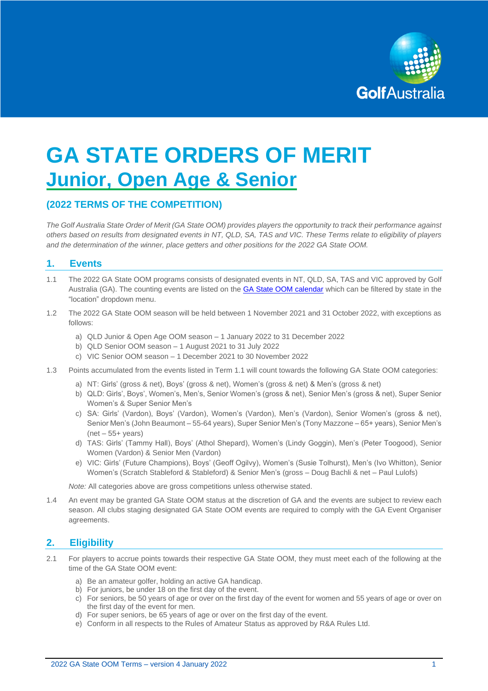

# **GA STATE ORDERS OF MERIT Junior, Open Age & Senior**

# **(2022 TERMS OF THE COMPETITION)**

*The Golf Australia State Order of Merit (GA State OOM) provides players the opportunity to track their performance against others based on results from designated events in NT, QLD, SA, TAS and VIC. These Terms relate to eligibility of players and the determination of the winner, place getters and other positions for the 2022 GA State OOM.* 

## **1. Events**

- 1.1 The 2022 GA State OOM programs consists of designated events in NT, QLD, SA, TAS and VIC approved by Golf Australia (GA). The counting events are listed on the **GA State OOM calendar** which can be filtered by state in the "location" dropdown menu.
- 1.2 The 2022 GA State OOM season will be held between 1 November 2021 and 31 October 2022, with exceptions as follows:
	- a) QLD Junior & Open Age OOM season 1 January 2022 to 31 December 2022
	- b) QLD Senior OOM season 1 August 2021 to 31 July 2022
	- c) VIC Senior OOM season 1 December 2021 to 30 November 2022
- 1.3 Points accumulated from the events listed in Term 1.1 will count towards the following GA State OOM categories:
	- a) NT: Girls' (gross & net), Boys' (gross & net), Women's (gross & net) & Men's (gross & net)
	- b) QLD: Girls', Boys', Women's, Men's, Senior Women's (gross & net), Senior Men's (gross & net), Super Senior Women's & Super Senior Men's
	- c) SA: Girls' (Vardon), Boys' (Vardon), Women's (Vardon), Men's (Vardon), Senior Women's (gross & net), Senior Men's (John Beaumont – 55-64 years), Super Senior Men's (Tony Mazzone – 65+ years), Senior Men's  $(net – 55+ years)$
	- d) TAS: Girls' (Tammy Hall), Boys' (Athol Shepard), Women's (Lindy Goggin), Men's (Peter Toogood), Senior Women (Vardon) & Senior Men (Vardon)
	- e) VIC: Girls' (Future Champions), Boys' (Geoff Ogilvy), Women's (Susie Tolhurst), Men's (Ivo Whitton), Senior Women's (Scratch Stableford & Stableford) & Senior Men's (gross – Doug Bachli & net – Paul Lulofs)

*Note:* All categories above are gross competitions unless otherwise stated.

1.4 An event may be granted GA State OOM status at the discretion of GA and the events are subject to review each season. All clubs staging designated GA State OOM events are required to comply with the GA Event Organiser agreements.

# **2. Eligibility**

- 2.1 For players to accrue points towards their respective GA State OOM, they must meet each of the following at the time of the GA State OOM event:
	- a) Be an amateur golfer, holding an active GA handicap.
	- b) For juniors, be under 18 on the first day of the event.
	- c) For seniors, be 50 years of age or over on the first day of the event for women and 55 years of age or over on the first day of the event for men.
	- d) For super seniors, be 65 years of age or over on the first day of the event.
	- e) Conform in all respects to the Rules of Amateur Status as approved by R&A Rules Ltd.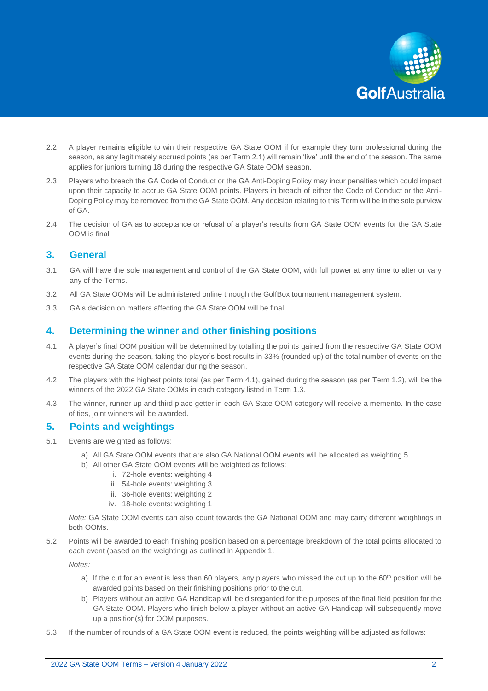

- 2.2 A player remains eligible to win their respective GA State OOM if for example they turn professional during the season, as any legitimately accrued points (as per Term 2.1) will remain 'live' until the end of the season. The same applies for juniors turning 18 during the respective GA State OOM season.
- 2.3 Players who breach the GA Code of Conduct or the GA Anti-Doping Policy may incur penalties which could impact upon their capacity to accrue GA State OOM points. Players in breach of either the Code of Conduct or the Anti-Doping Policy may be removed from the GA State OOM. Any decision relating to this Term will be in the sole purview of GA.
- 2.4 The decision of GA as to acceptance or refusal of a player's results from GA State OOM events for the GA State OOM is final.

## **3. General**

- 3.1 GA will have the sole management and control of the GA State OOM, with full power at any time to alter or vary any of the Terms.
- 3.2 All GA State OOMs will be administered online through the GolfBox tournament management system.
- 3.3 GA's decision on matters affecting the GA State OOM will be final.

## **4. Determining the winner and other finishing positions**

- 4.1 A player's final OOM position will be determined by totalling the points gained from the respective GA State OOM events during the season, taking the player's best results in 33% (rounded up) of the total number of events on the respective GA State OOM calendar during the season.
- 4.2 The players with the highest points total (as per Term 4.1), gained during the season (as per Term 1.2), will be the winners of the 2022 GA State OOMs in each category listed in Term 1.3.
- 4.3 The winner, runner-up and third place getter in each GA State OOM category will receive a memento. In the case of ties, joint winners will be awarded.

#### **5. Points and weightings**

- 5.1 Events are weighted as follows:
	- a) All GA State OOM events that are also GA National OOM events will be allocated as weighting 5.
	- b) All other GA State OOM events will be weighted as follows:
		- i. 72-hole events: weighting 4
		- ii. 54-hole events: weighting 3
		- iii. 36-hole events: weighting 2
		- iv. 18-hole events: weighting 1

*Note:* GA State OOM events can also count towards the GA National OOM and may carry different weightings in both OOMs.

5.2 Points will be awarded to each finishing position based on a percentage breakdown of the total points allocated to each event (based on the weighting) as outlined in Appendix 1.

*Notes:* 

- a) If the cut for an event is less than 60 players, any players who missed the cut up to the  $60<sup>th</sup>$  position will be awarded points based on their finishing positions prior to the cut.
- b) Players without an active GA Handicap will be disregarded for the purposes of the final field position for the GA State OOM. Players who finish below a player without an active GA Handicap will subsequently move up a position(s) for OOM purposes.
- 5.3 If the number of rounds of a GA State OOM event is reduced, the points weighting will be adjusted as follows: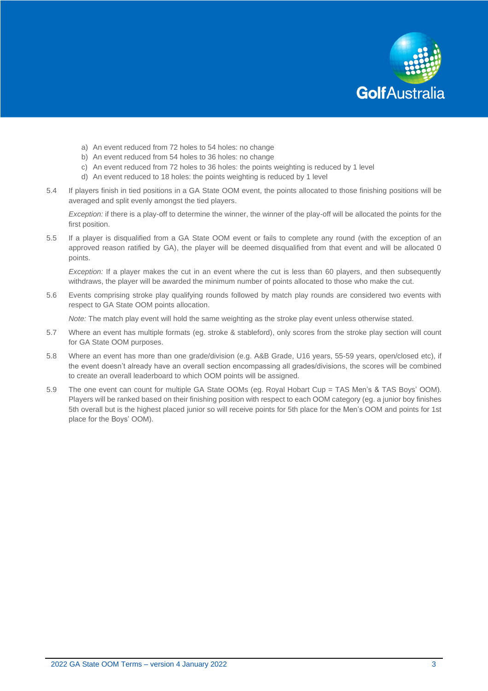

- a) An event reduced from 72 holes to 54 holes: no change
- b) An event reduced from 54 holes to 36 holes: no change
- c) An event reduced from 72 holes to 36 holes: the points weighting is reduced by 1 level
- d) An event reduced to 18 holes: the points weighting is reduced by 1 level
- 5.4 If players finish in tied positions in a GA State OOM event, the points allocated to those finishing positions will be averaged and split evenly amongst the tied players.

*Exception:* if there is a play-off to determine the winner, the winner of the play-off will be allocated the points for the first position.

5.5 If a player is disqualified from a GA State OOM event or fails to complete any round (with the exception of an approved reason ratified by GA), the player will be deemed disqualified from that event and will be allocated 0 points.

*Exception:* If a player makes the cut in an event where the cut is less than 60 players, and then subsequently withdraws, the player will be awarded the minimum number of points allocated to those who make the cut.

5.6 Events comprising stroke play qualifying rounds followed by match play rounds are considered two events with respect to GA State OOM points allocation.

*Note:* The match play event will hold the same weighting as the stroke play event unless otherwise stated.

- 5.7 Where an event has multiple formats (eg. stroke & stableford), only scores from the stroke play section will count for GA State OOM purposes.
- 5.8 Where an event has more than one grade/division (e.g. A&B Grade, U16 years, 55-59 years, open/closed etc), if the event doesn't already have an overall section encompassing all grades/divisions, the scores will be combined to create an overall leaderboard to which OOM points will be assigned.
- 5.9 The one event can count for multiple GA State OOMs (eg. Royal Hobart Cup = TAS Men's & TAS Boys' OOM). Players will be ranked based on their finishing position with respect to each OOM category (eg. a junior boy finishes 5th overall but is the highest placed junior so will receive points for 5th place for the Men's OOM and points for 1st place for the Boys' OOM).